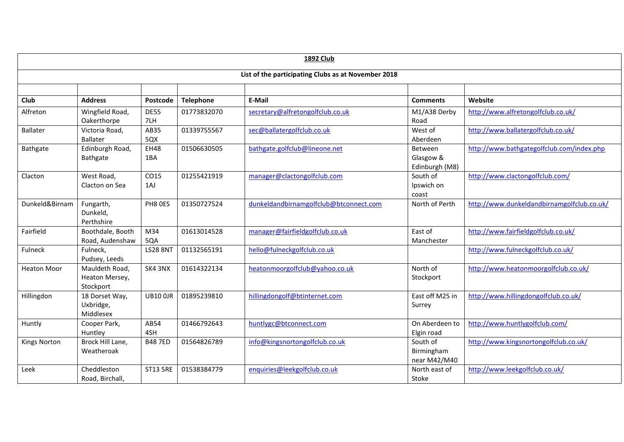| <b>1892 Club</b>                                    |                                               |                    |                  |                                        |                                        |                                            |  |
|-----------------------------------------------------|-----------------------------------------------|--------------------|------------------|----------------------------------------|----------------------------------------|--------------------------------------------|--|
| List of the participating Clubs as at November 2018 |                                               |                    |                  |                                        |                                        |                                            |  |
|                                                     |                                               |                    |                  |                                        |                                        |                                            |  |
| <b>Club</b>                                         | <b>Address</b>                                | Postcode           | <b>Telephone</b> | E-Mail                                 | <b>Comments</b>                        | Website                                    |  |
| Alfreton                                            | Wingfield Road,<br>Oakerthorpe                | <b>DE55</b><br>7LH | 01773832070      | secretary@alfretongolfclub.co.uk       | M1/A38 Derby<br>Road                   | http://www.alfretongolfclub.co.uk/         |  |
| <b>Ballater</b>                                     | Victoria Road,<br><b>Ballater</b>             | AB35<br>5QX        | 01339755567      | sec@ballatergolfclub.co.uk             | West of<br>Aberdeen                    | http://www.ballatergolfclub.co.uk/         |  |
| Bathgate                                            | Edinburgh Road,<br>Bathgate                   | <b>EH48</b><br>1BA | 01506630505      | bathgate.golfclub@lineone.net          | Between<br>Glasgow &<br>Edinburgh (M8) | http://www.bathgategolfclub.com/index.php  |  |
| Clacton                                             | West Road,<br>Clacton on Sea                  | CO15<br>1AJ        | 01255421919      | manager@clactongolfclub.com            | South of<br>Ipswich on<br>coast        | http://www.clactongolfclub.com/            |  |
| Dunkeld&Birnam                                      | Fungarth,<br>Dunkeld,<br>Perthshire           | PH8 OES            | 01350727524      | dunkeldandbirnamgolfclub@btconnect.com | North of Perth                         | http://www.dunkeldandbirnamgolfclub.co.uk/ |  |
| Fairfield                                           | Boothdale, Booth<br>Road, Audenshaw           | M34<br>5QA         | 01613014528      | manager@fairfieldgolfclub.co.uk        | East of<br>Manchester                  | http://www.fairfieldgolfclub.co.uk/        |  |
| Fulneck                                             | Fulneck,<br>Pudsey, Leeds                     | <b>LS28 8NT</b>    | 01132565191      | hello@fulneckgolfclub.co.uk            |                                        | http://www.fulneckgolfclub.co.uk/          |  |
| <b>Heaton Moor</b>                                  | Mauldeth Road,<br>Heaton Mersey,<br>Stockport | SK4 3NX            | 01614322134      | heatonmoorgolfclub@yahoo.co.uk         | North of<br>Stockport                  | http://www.heatonmoorgolfclub.co.uk/       |  |
| Hillingdon                                          | 18 Dorset Way,<br>Uxbridge,<br>Middlesex      | <b>UB10 0JR</b>    | 01895239810      | hillingdongolf@btinternet.com          | East off M25 in<br>Surrey              | http://www.hillingdongolfclub.co.uk/       |  |
| Huntly                                              | Cooper Park,<br>Huntley                       | AB54<br>4SH        | 01466792643      | huntlygc@btconnect.com                 | On Aberdeen to<br>Elgin road           | http://www.huntlygolfclub.com/             |  |
| <b>Kings Norton</b>                                 | Brock Hill Lane,<br>Weatheroak                | <b>B487ED</b>      | 01564826789      | info@kingsnortongolfclub.co.uk         | South of<br>Birmingham<br>near M42/M40 | http://www.kingsnortongolfclub.co.uk/      |  |
| Leek                                                | Cheddleston<br>Road, Birchall,                | <b>ST13 5RE</b>    | 01538384779      | enquiries@leekgolfclub.co.uk           | North east of<br>Stoke                 | http://www.leekgolfclub.co.uk/             |  |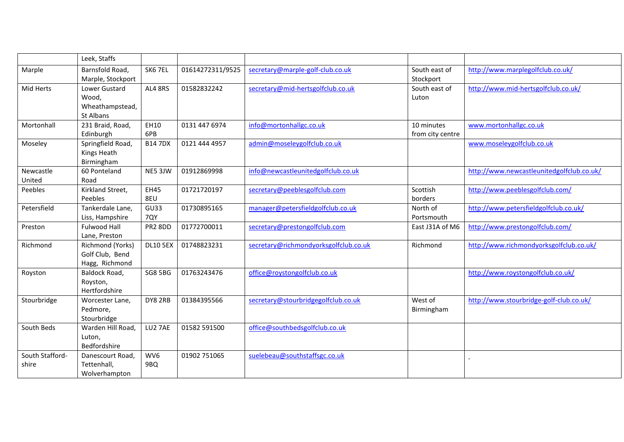|                 | Leek, Staffs      |                 |                  |                                       |                  |                                           |
|-----------------|-------------------|-----------------|------------------|---------------------------------------|------------------|-------------------------------------------|
| Marple          | Barnsfold Road,   | SK6 7EL         | 01614272311/9525 | secretary@marple-golf-club.co.uk      | South east of    | http://www.marplegolfclub.co.uk/          |
|                 | Marple, Stockport |                 |                  |                                       | Stockport        |                                           |
| Mid Herts       | Lower Gustard     | AL4 8RS         | 01582832242      | secretary@mid-hertsgolfclub.co.uk     | South east of    | http://www.mid-hertsgolfclub.co.uk/       |
|                 | Wood,             |                 |                  |                                       | Luton            |                                           |
|                 | Wheathampstead,   |                 |                  |                                       |                  |                                           |
|                 | St Albans         |                 |                  |                                       |                  |                                           |
| Mortonhall      | 231 Braid, Road,  | EH10            | 0131 447 6974    | info@mortonhallgc.co.uk               | 10 minutes       | www.mortonhallgc.co.uk                    |
|                 | Edinburgh         | 6PB             |                  |                                       | from city centre |                                           |
| Moseley         | Springfield Road, | <b>B147DX</b>   | 0121 444 4957    | admin@moseleygolfclub.co.uk           |                  | www.moseleygolfclub.co.uk                 |
|                 | Kings Heath       |                 |                  |                                       |                  |                                           |
|                 | Birmingham        |                 |                  |                                       |                  |                                           |
| Newcastle       | 60 Ponteland      | NE5 3JW         | 01912869998      | info@newcastleunitedgolfclub.co.uk    |                  | http://www.newcastleunitedgolfclub.co.uk/ |
| United          | Road              |                 |                  |                                       |                  |                                           |
| Peebles         | Kirkland Street,  | <b>EH45</b>     | 01721720197      | secretary@peeblesgolfclub.com         | Scottish         | http://www.peeblesgolfclub.com/           |
|                 | Peebles           | 8EU             |                  |                                       | borders          |                                           |
| Petersfield     | Tankerdale Lane,  | GU33            | 01730895165      | manager@petersfieldgolfclub.co.uk     | North of         | http://www.petersfieldgolfclub.co.uk/     |
|                 | Liss, Hampshire   | 7QY             |                  |                                       | Portsmouth       |                                           |
| Preston         | Fulwood Hall      | PR2 8DD         | 01772700011      | secretary@prestongolfclub.com         | East J31A of M6  | http://www.prestongolfclub.com/           |
|                 | Lane, Preston     |                 |                  |                                       |                  |                                           |
| Richmond        | Richmond (Yorks)  | <b>DL10 5EX</b> | 01748823231      | secretary@richmondyorksgolfclub.co.uk | Richmond         | http://www.richmondyorksgolfclub.co.uk/   |
|                 | Golf Club, Bend   |                 |                  |                                       |                  |                                           |
|                 | Hagg, Richmond    |                 |                  |                                       |                  |                                           |
| Royston         | Baldock Road,     | <b>SG8 5BG</b>  | 01763243476      | office@roystongolfclub.co.uk          |                  | http://www.roystongolfclub.co.uk/         |
|                 | Royston,          |                 |                  |                                       |                  |                                           |
|                 | Hertfordshire     |                 |                  |                                       |                  |                                           |
| Stourbridge     | Worcester Lane,   | DY8 2RB         | 01384395566      | secretary@stourbridgegolfclub.co.uk   | West of          | http://www.stourbridge-golf-club.co.uk/   |
|                 | Pedmore,          |                 |                  |                                       | Birmingham       |                                           |
|                 | Stourbridge       |                 |                  |                                       |                  |                                           |
| South Beds      | Warden Hill Road, | LU27AE          | 01582 591500     | office@southbedsgolfclub.co.uk        |                  |                                           |
|                 | Luton,            |                 |                  |                                       |                  |                                           |
|                 | Bedfordshire      |                 |                  |                                       |                  |                                           |
| South Stafford- | Danescourt Road,  | WV6             | 01902 751065     | suelebeau@southstaffsgc.co.uk         |                  |                                           |
| shire           | Tettenhall,       | 9BQ             |                  |                                       |                  |                                           |
|                 | Wolverhampton     |                 |                  |                                       |                  |                                           |